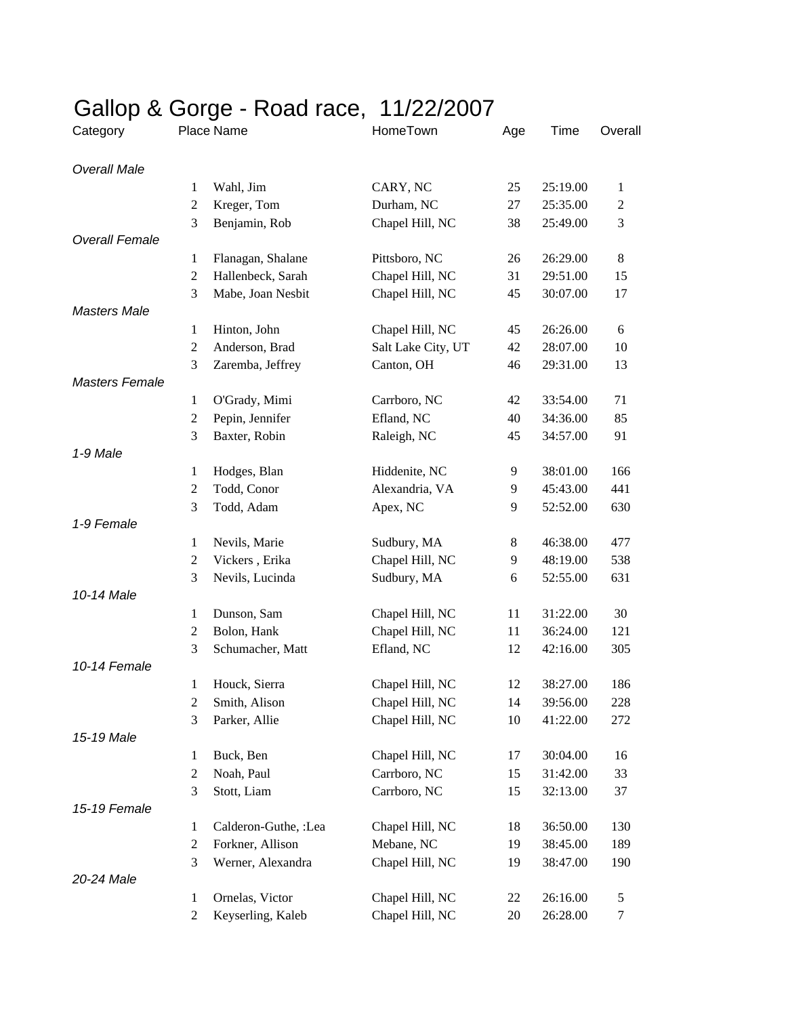| Place Name<br>HomeTown<br>Time<br>Overall<br>Age<br>1<br>Wahl, Jim<br>CARY, NC<br>25<br>25:19.00<br>1<br>$\mathbf{2}$<br>Kreger, Tom<br>Durham, NC<br>25:35.00<br>27<br>2<br>3<br>Chapel Hill, NC<br>38<br>3<br>Benjamin, Rob<br>25:49.00<br>26:29.00<br>8<br>Flanagan, Shalane<br>Pittsboro, NC<br>26<br>1<br>$\overline{2}$<br>Hallenbeck, Sarah<br>Chapel Hill, NC<br>31<br>29:51.00<br>15<br>3<br>Mabe, Joan Nesbit<br>Chapel Hill, NC<br>45<br>30:07.00<br>17<br>Hinton, John<br>Chapel Hill, NC<br>45<br>26:26.00<br>6<br>1<br>$\mathfrak{2}$<br>Anderson, Brad<br>Salt Lake City, UT<br>42<br>10<br>28:07.00<br>3<br>Zaremba, Jeffrey<br>Canton, OH<br>29:31.00<br>46<br>13<br>Carrboro, NC<br>42<br>33:54.00<br>1<br>O'Grady, Mimi<br>71<br>$\overline{2}$<br>Pepin, Jennifer<br>Efland, NC<br>34:36.00<br>40<br>85<br>3<br>Baxter, Robin<br>Raleigh, NC<br>45<br>34:57.00<br>91<br>1-9 Male<br>166<br>Hodges, Blan<br>Hiddenite, NC<br>9<br>38:01.00<br>1<br>Todd, Conor<br>Alexandria, VA<br>441<br>$\overline{2}$<br>9<br>45:43.00<br>3<br>Todd, Adam<br>630<br>Apex, NC<br>9<br>52:52.00<br>1-9 Female<br>Nevils, Marie<br>46:38.00<br>477<br>Sudbury, MA<br>$8\,$<br>$\mathbf{1}$<br>$\overline{2}$<br>Vickers, Erika<br>Chapel Hill, NC<br>538<br>9<br>48:19.00<br>3<br>Nevils, Lucinda<br>Sudbury, MA<br>631<br>6<br>52:55.00<br>10-14 Male<br>Dunson, Sam<br>Chapel Hill, NC<br>11<br>31:22.00<br>30<br>1<br>Bolon, Hank<br>$\overline{2}$<br>Chapel Hill, NC<br>11<br>121<br>36:24.00<br>3<br>Efland, NC<br>Schumacher, Matt<br>42:16.00<br>12<br>305<br>10-14 Female<br>Houck, Sierra<br>Chapel Hill, NC<br>186<br>1<br>12<br>38:27.00<br>Chapel Hill, NC<br>$\overline{2}$<br>Smith, Alison<br>14<br>39:56.00<br>228<br>Chapel Hill, NC<br>3<br>Parker, Allie<br>10<br>41:22.00<br>272<br>15-19 Male<br>Chapel Hill, NC<br>1<br>Buck, Ben<br>30:04.00<br>16<br>17<br>Carrboro, NC<br>$\mathbf{2}$<br>Noah, Paul<br>31:42.00<br>15<br>33<br>3<br>Stott, Liam<br>Carrboro, NC<br>37<br>15<br>32:13.00<br>15-19 Female<br>Calderon-Guthe, :Lea<br>Chapel Hill, NC<br>1<br>18<br>36:50.00<br>130<br>$\mathbf{2}$<br>Forkner, Allison<br>Mebane, NC<br>189<br>19<br>38:45.00<br>3<br>Werner, Alexandra<br>Chapel Hill, NC<br>19<br>190<br>38:47.00<br>Ornelas, Victor<br>Chapel Hill, NC<br>26:16.00<br>1<br>5<br>22<br>Keyserling, Kaleb<br>Chapel Hill, NC<br>$\mathbf{2}$<br>20<br>26:28.00<br>$\tau$ | Gallop & Gorge - Road race, 11/22/2007 |  |  |  |  |  |  |  |  |
|------------------------------------------------------------------------------------------------------------------------------------------------------------------------------------------------------------------------------------------------------------------------------------------------------------------------------------------------------------------------------------------------------------------------------------------------------------------------------------------------------------------------------------------------------------------------------------------------------------------------------------------------------------------------------------------------------------------------------------------------------------------------------------------------------------------------------------------------------------------------------------------------------------------------------------------------------------------------------------------------------------------------------------------------------------------------------------------------------------------------------------------------------------------------------------------------------------------------------------------------------------------------------------------------------------------------------------------------------------------------------------------------------------------------------------------------------------------------------------------------------------------------------------------------------------------------------------------------------------------------------------------------------------------------------------------------------------------------------------------------------------------------------------------------------------------------------------------------------------------------------------------------------------------------------------------------------------------------------------------------------------------------------------------------------------------------------------------------------------------------------------------------------------------------------------------------------------------------------------------------------------------------------------------------------------------------------------------------------------------------------------------------------------------------|----------------------------------------|--|--|--|--|--|--|--|--|
|                                                                                                                                                                                                                                                                                                                                                                                                                                                                                                                                                                                                                                                                                                                                                                                                                                                                                                                                                                                                                                                                                                                                                                                                                                                                                                                                                                                                                                                                                                                                                                                                                                                                                                                                                                                                                                                                                                                                                                                                                                                                                                                                                                                                                                                                                                                                                                                                                        | Category                               |  |  |  |  |  |  |  |  |
|                                                                                                                                                                                                                                                                                                                                                                                                                                                                                                                                                                                                                                                                                                                                                                                                                                                                                                                                                                                                                                                                                                                                                                                                                                                                                                                                                                                                                                                                                                                                                                                                                                                                                                                                                                                                                                                                                                                                                                                                                                                                                                                                                                                                                                                                                                                                                                                                                        | <b>Overall Male</b>                    |  |  |  |  |  |  |  |  |
|                                                                                                                                                                                                                                                                                                                                                                                                                                                                                                                                                                                                                                                                                                                                                                                                                                                                                                                                                                                                                                                                                                                                                                                                                                                                                                                                                                                                                                                                                                                                                                                                                                                                                                                                                                                                                                                                                                                                                                                                                                                                                                                                                                                                                                                                                                                                                                                                                        |                                        |  |  |  |  |  |  |  |  |
|                                                                                                                                                                                                                                                                                                                                                                                                                                                                                                                                                                                                                                                                                                                                                                                                                                                                                                                                                                                                                                                                                                                                                                                                                                                                                                                                                                                                                                                                                                                                                                                                                                                                                                                                                                                                                                                                                                                                                                                                                                                                                                                                                                                                                                                                                                                                                                                                                        |                                        |  |  |  |  |  |  |  |  |
|                                                                                                                                                                                                                                                                                                                                                                                                                                                                                                                                                                                                                                                                                                                                                                                                                                                                                                                                                                                                                                                                                                                                                                                                                                                                                                                                                                                                                                                                                                                                                                                                                                                                                                                                                                                                                                                                                                                                                                                                                                                                                                                                                                                                                                                                                                                                                                                                                        |                                        |  |  |  |  |  |  |  |  |
|                                                                                                                                                                                                                                                                                                                                                                                                                                                                                                                                                                                                                                                                                                                                                                                                                                                                                                                                                                                                                                                                                                                                                                                                                                                                                                                                                                                                                                                                                                                                                                                                                                                                                                                                                                                                                                                                                                                                                                                                                                                                                                                                                                                                                                                                                                                                                                                                                        | <b>Overall Female</b>                  |  |  |  |  |  |  |  |  |
|                                                                                                                                                                                                                                                                                                                                                                                                                                                                                                                                                                                                                                                                                                                                                                                                                                                                                                                                                                                                                                                                                                                                                                                                                                                                                                                                                                                                                                                                                                                                                                                                                                                                                                                                                                                                                                                                                                                                                                                                                                                                                                                                                                                                                                                                                                                                                                                                                        |                                        |  |  |  |  |  |  |  |  |
|                                                                                                                                                                                                                                                                                                                                                                                                                                                                                                                                                                                                                                                                                                                                                                                                                                                                                                                                                                                                                                                                                                                                                                                                                                                                                                                                                                                                                                                                                                                                                                                                                                                                                                                                                                                                                                                                                                                                                                                                                                                                                                                                                                                                                                                                                                                                                                                                                        |                                        |  |  |  |  |  |  |  |  |
|                                                                                                                                                                                                                                                                                                                                                                                                                                                                                                                                                                                                                                                                                                                                                                                                                                                                                                                                                                                                                                                                                                                                                                                                                                                                                                                                                                                                                                                                                                                                                                                                                                                                                                                                                                                                                                                                                                                                                                                                                                                                                                                                                                                                                                                                                                                                                                                                                        |                                        |  |  |  |  |  |  |  |  |
|                                                                                                                                                                                                                                                                                                                                                                                                                                                                                                                                                                                                                                                                                                                                                                                                                                                                                                                                                                                                                                                                                                                                                                                                                                                                                                                                                                                                                                                                                                                                                                                                                                                                                                                                                                                                                                                                                                                                                                                                                                                                                                                                                                                                                                                                                                                                                                                                                        | <b>Masters Male</b>                    |  |  |  |  |  |  |  |  |
|                                                                                                                                                                                                                                                                                                                                                                                                                                                                                                                                                                                                                                                                                                                                                                                                                                                                                                                                                                                                                                                                                                                                                                                                                                                                                                                                                                                                                                                                                                                                                                                                                                                                                                                                                                                                                                                                                                                                                                                                                                                                                                                                                                                                                                                                                                                                                                                                                        |                                        |  |  |  |  |  |  |  |  |
|                                                                                                                                                                                                                                                                                                                                                                                                                                                                                                                                                                                                                                                                                                                                                                                                                                                                                                                                                                                                                                                                                                                                                                                                                                                                                                                                                                                                                                                                                                                                                                                                                                                                                                                                                                                                                                                                                                                                                                                                                                                                                                                                                                                                                                                                                                                                                                                                                        |                                        |  |  |  |  |  |  |  |  |
|                                                                                                                                                                                                                                                                                                                                                                                                                                                                                                                                                                                                                                                                                                                                                                                                                                                                                                                                                                                                                                                                                                                                                                                                                                                                                                                                                                                                                                                                                                                                                                                                                                                                                                                                                                                                                                                                                                                                                                                                                                                                                                                                                                                                                                                                                                                                                                                                                        |                                        |  |  |  |  |  |  |  |  |
|                                                                                                                                                                                                                                                                                                                                                                                                                                                                                                                                                                                                                                                                                                                                                                                                                                                                                                                                                                                                                                                                                                                                                                                                                                                                                                                                                                                                                                                                                                                                                                                                                                                                                                                                                                                                                                                                                                                                                                                                                                                                                                                                                                                                                                                                                                                                                                                                                        | <b>Masters Female</b>                  |  |  |  |  |  |  |  |  |
|                                                                                                                                                                                                                                                                                                                                                                                                                                                                                                                                                                                                                                                                                                                                                                                                                                                                                                                                                                                                                                                                                                                                                                                                                                                                                                                                                                                                                                                                                                                                                                                                                                                                                                                                                                                                                                                                                                                                                                                                                                                                                                                                                                                                                                                                                                                                                                                                                        |                                        |  |  |  |  |  |  |  |  |
|                                                                                                                                                                                                                                                                                                                                                                                                                                                                                                                                                                                                                                                                                                                                                                                                                                                                                                                                                                                                                                                                                                                                                                                                                                                                                                                                                                                                                                                                                                                                                                                                                                                                                                                                                                                                                                                                                                                                                                                                                                                                                                                                                                                                                                                                                                                                                                                                                        |                                        |  |  |  |  |  |  |  |  |
|                                                                                                                                                                                                                                                                                                                                                                                                                                                                                                                                                                                                                                                                                                                                                                                                                                                                                                                                                                                                                                                                                                                                                                                                                                                                                                                                                                                                                                                                                                                                                                                                                                                                                                                                                                                                                                                                                                                                                                                                                                                                                                                                                                                                                                                                                                                                                                                                                        |                                        |  |  |  |  |  |  |  |  |
|                                                                                                                                                                                                                                                                                                                                                                                                                                                                                                                                                                                                                                                                                                                                                                                                                                                                                                                                                                                                                                                                                                                                                                                                                                                                                                                                                                                                                                                                                                                                                                                                                                                                                                                                                                                                                                                                                                                                                                                                                                                                                                                                                                                                                                                                                                                                                                                                                        |                                        |  |  |  |  |  |  |  |  |
|                                                                                                                                                                                                                                                                                                                                                                                                                                                                                                                                                                                                                                                                                                                                                                                                                                                                                                                                                                                                                                                                                                                                                                                                                                                                                                                                                                                                                                                                                                                                                                                                                                                                                                                                                                                                                                                                                                                                                                                                                                                                                                                                                                                                                                                                                                                                                                                                                        |                                        |  |  |  |  |  |  |  |  |
|                                                                                                                                                                                                                                                                                                                                                                                                                                                                                                                                                                                                                                                                                                                                                                                                                                                                                                                                                                                                                                                                                                                                                                                                                                                                                                                                                                                                                                                                                                                                                                                                                                                                                                                                                                                                                                                                                                                                                                                                                                                                                                                                                                                                                                                                                                                                                                                                                        |                                        |  |  |  |  |  |  |  |  |
|                                                                                                                                                                                                                                                                                                                                                                                                                                                                                                                                                                                                                                                                                                                                                                                                                                                                                                                                                                                                                                                                                                                                                                                                                                                                                                                                                                                                                                                                                                                                                                                                                                                                                                                                                                                                                                                                                                                                                                                                                                                                                                                                                                                                                                                                                                                                                                                                                        |                                        |  |  |  |  |  |  |  |  |
|                                                                                                                                                                                                                                                                                                                                                                                                                                                                                                                                                                                                                                                                                                                                                                                                                                                                                                                                                                                                                                                                                                                                                                                                                                                                                                                                                                                                                                                                                                                                                                                                                                                                                                                                                                                                                                                                                                                                                                                                                                                                                                                                                                                                                                                                                                                                                                                                                        |                                        |  |  |  |  |  |  |  |  |
|                                                                                                                                                                                                                                                                                                                                                                                                                                                                                                                                                                                                                                                                                                                                                                                                                                                                                                                                                                                                                                                                                                                                                                                                                                                                                                                                                                                                                                                                                                                                                                                                                                                                                                                                                                                                                                                                                                                                                                                                                                                                                                                                                                                                                                                                                                                                                                                                                        |                                        |  |  |  |  |  |  |  |  |
|                                                                                                                                                                                                                                                                                                                                                                                                                                                                                                                                                                                                                                                                                                                                                                                                                                                                                                                                                                                                                                                                                                                                                                                                                                                                                                                                                                                                                                                                                                                                                                                                                                                                                                                                                                                                                                                                                                                                                                                                                                                                                                                                                                                                                                                                                                                                                                                                                        |                                        |  |  |  |  |  |  |  |  |
|                                                                                                                                                                                                                                                                                                                                                                                                                                                                                                                                                                                                                                                                                                                                                                                                                                                                                                                                                                                                                                                                                                                                                                                                                                                                                                                                                                                                                                                                                                                                                                                                                                                                                                                                                                                                                                                                                                                                                                                                                                                                                                                                                                                                                                                                                                                                                                                                                        |                                        |  |  |  |  |  |  |  |  |
|                                                                                                                                                                                                                                                                                                                                                                                                                                                                                                                                                                                                                                                                                                                                                                                                                                                                                                                                                                                                                                                                                                                                                                                                                                                                                                                                                                                                                                                                                                                                                                                                                                                                                                                                                                                                                                                                                                                                                                                                                                                                                                                                                                                                                                                                                                                                                                                                                        |                                        |  |  |  |  |  |  |  |  |
|                                                                                                                                                                                                                                                                                                                                                                                                                                                                                                                                                                                                                                                                                                                                                                                                                                                                                                                                                                                                                                                                                                                                                                                                                                                                                                                                                                                                                                                                                                                                                                                                                                                                                                                                                                                                                                                                                                                                                                                                                                                                                                                                                                                                                                                                                                                                                                                                                        |                                        |  |  |  |  |  |  |  |  |
|                                                                                                                                                                                                                                                                                                                                                                                                                                                                                                                                                                                                                                                                                                                                                                                                                                                                                                                                                                                                                                                                                                                                                                                                                                                                                                                                                                                                                                                                                                                                                                                                                                                                                                                                                                                                                                                                                                                                                                                                                                                                                                                                                                                                                                                                                                                                                                                                                        |                                        |  |  |  |  |  |  |  |  |
|                                                                                                                                                                                                                                                                                                                                                                                                                                                                                                                                                                                                                                                                                                                                                                                                                                                                                                                                                                                                                                                                                                                                                                                                                                                                                                                                                                                                                                                                                                                                                                                                                                                                                                                                                                                                                                                                                                                                                                                                                                                                                                                                                                                                                                                                                                                                                                                                                        |                                        |  |  |  |  |  |  |  |  |
|                                                                                                                                                                                                                                                                                                                                                                                                                                                                                                                                                                                                                                                                                                                                                                                                                                                                                                                                                                                                                                                                                                                                                                                                                                                                                                                                                                                                                                                                                                                                                                                                                                                                                                                                                                                                                                                                                                                                                                                                                                                                                                                                                                                                                                                                                                                                                                                                                        |                                        |  |  |  |  |  |  |  |  |
|                                                                                                                                                                                                                                                                                                                                                                                                                                                                                                                                                                                                                                                                                                                                                                                                                                                                                                                                                                                                                                                                                                                                                                                                                                                                                                                                                                                                                                                                                                                                                                                                                                                                                                                                                                                                                                                                                                                                                                                                                                                                                                                                                                                                                                                                                                                                                                                                                        |                                        |  |  |  |  |  |  |  |  |
|                                                                                                                                                                                                                                                                                                                                                                                                                                                                                                                                                                                                                                                                                                                                                                                                                                                                                                                                                                                                                                                                                                                                                                                                                                                                                                                                                                                                                                                                                                                                                                                                                                                                                                                                                                                                                                                                                                                                                                                                                                                                                                                                                                                                                                                                                                                                                                                                                        |                                        |  |  |  |  |  |  |  |  |
|                                                                                                                                                                                                                                                                                                                                                                                                                                                                                                                                                                                                                                                                                                                                                                                                                                                                                                                                                                                                                                                                                                                                                                                                                                                                                                                                                                                                                                                                                                                                                                                                                                                                                                                                                                                                                                                                                                                                                                                                                                                                                                                                                                                                                                                                                                                                                                                                                        |                                        |  |  |  |  |  |  |  |  |
|                                                                                                                                                                                                                                                                                                                                                                                                                                                                                                                                                                                                                                                                                                                                                                                                                                                                                                                                                                                                                                                                                                                                                                                                                                                                                                                                                                                                                                                                                                                                                                                                                                                                                                                                                                                                                                                                                                                                                                                                                                                                                                                                                                                                                                                                                                                                                                                                                        |                                        |  |  |  |  |  |  |  |  |
|                                                                                                                                                                                                                                                                                                                                                                                                                                                                                                                                                                                                                                                                                                                                                                                                                                                                                                                                                                                                                                                                                                                                                                                                                                                                                                                                                                                                                                                                                                                                                                                                                                                                                                                                                                                                                                                                                                                                                                                                                                                                                                                                                                                                                                                                                                                                                                                                                        |                                        |  |  |  |  |  |  |  |  |
|                                                                                                                                                                                                                                                                                                                                                                                                                                                                                                                                                                                                                                                                                                                                                                                                                                                                                                                                                                                                                                                                                                                                                                                                                                                                                                                                                                                                                                                                                                                                                                                                                                                                                                                                                                                                                                                                                                                                                                                                                                                                                                                                                                                                                                                                                                                                                                                                                        |                                        |  |  |  |  |  |  |  |  |
|                                                                                                                                                                                                                                                                                                                                                                                                                                                                                                                                                                                                                                                                                                                                                                                                                                                                                                                                                                                                                                                                                                                                                                                                                                                                                                                                                                                                                                                                                                                                                                                                                                                                                                                                                                                                                                                                                                                                                                                                                                                                                                                                                                                                                                                                                                                                                                                                                        |                                        |  |  |  |  |  |  |  |  |
|                                                                                                                                                                                                                                                                                                                                                                                                                                                                                                                                                                                                                                                                                                                                                                                                                                                                                                                                                                                                                                                                                                                                                                                                                                                                                                                                                                                                                                                                                                                                                                                                                                                                                                                                                                                                                                                                                                                                                                                                                                                                                                                                                                                                                                                                                                                                                                                                                        |                                        |  |  |  |  |  |  |  |  |
|                                                                                                                                                                                                                                                                                                                                                                                                                                                                                                                                                                                                                                                                                                                                                                                                                                                                                                                                                                                                                                                                                                                                                                                                                                                                                                                                                                                                                                                                                                                                                                                                                                                                                                                                                                                                                                                                                                                                                                                                                                                                                                                                                                                                                                                                                                                                                                                                                        |                                        |  |  |  |  |  |  |  |  |
|                                                                                                                                                                                                                                                                                                                                                                                                                                                                                                                                                                                                                                                                                                                                                                                                                                                                                                                                                                                                                                                                                                                                                                                                                                                                                                                                                                                                                                                                                                                                                                                                                                                                                                                                                                                                                                                                                                                                                                                                                                                                                                                                                                                                                                                                                                                                                                                                                        |                                        |  |  |  |  |  |  |  |  |
|                                                                                                                                                                                                                                                                                                                                                                                                                                                                                                                                                                                                                                                                                                                                                                                                                                                                                                                                                                                                                                                                                                                                                                                                                                                                                                                                                                                                                                                                                                                                                                                                                                                                                                                                                                                                                                                                                                                                                                                                                                                                                                                                                                                                                                                                                                                                                                                                                        |                                        |  |  |  |  |  |  |  |  |
|                                                                                                                                                                                                                                                                                                                                                                                                                                                                                                                                                                                                                                                                                                                                                                                                                                                                                                                                                                                                                                                                                                                                                                                                                                                                                                                                                                                                                                                                                                                                                                                                                                                                                                                                                                                                                                                                                                                                                                                                                                                                                                                                                                                                                                                                                                                                                                                                                        | 20-24 Male                             |  |  |  |  |  |  |  |  |
|                                                                                                                                                                                                                                                                                                                                                                                                                                                                                                                                                                                                                                                                                                                                                                                                                                                                                                                                                                                                                                                                                                                                                                                                                                                                                                                                                                                                                                                                                                                                                                                                                                                                                                                                                                                                                                                                                                                                                                                                                                                                                                                                                                                                                                                                                                                                                                                                                        |                                        |  |  |  |  |  |  |  |  |
|                                                                                                                                                                                                                                                                                                                                                                                                                                                                                                                                                                                                                                                                                                                                                                                                                                                                                                                                                                                                                                                                                                                                                                                                                                                                                                                                                                                                                                                                                                                                                                                                                                                                                                                                                                                                                                                                                                                                                                                                                                                                                                                                                                                                                                                                                                                                                                                                                        |                                        |  |  |  |  |  |  |  |  |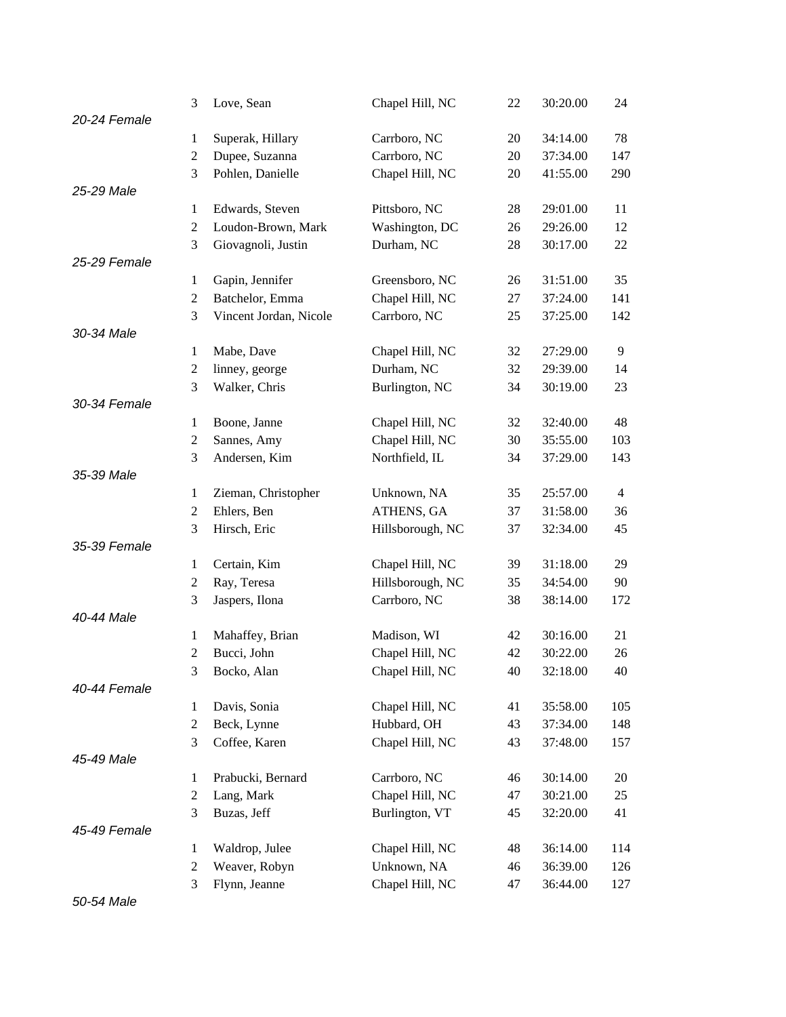|              | 3              | Love, Sean             | Chapel Hill, NC  | 22 | 30:20.00 | 24             |
|--------------|----------------|------------------------|------------------|----|----------|----------------|
| 20-24 Female |                |                        |                  |    |          |                |
|              | 1              | Superak, Hillary       | Carrboro, NC     | 20 | 34:14.00 | 78             |
|              | 2              | Dupee, Suzanna         | Carrboro, NC     | 20 | 37:34.00 | 147            |
|              | 3              | Pohlen, Danielle       | Chapel Hill, NC  | 20 | 41:55.00 | 290            |
| 25-29 Male   |                |                        |                  |    |          |                |
|              | $\mathbf{1}$   | Edwards, Steven        | Pittsboro, NC    | 28 | 29:01.00 | 11             |
|              | $\overline{2}$ | Loudon-Brown, Mark     | Washington, DC   | 26 | 29:26.00 | 12             |
|              | 3              | Giovagnoli, Justin     | Durham, NC       | 28 | 30:17.00 | 22             |
| 25-29 Female |                |                        |                  |    |          |                |
|              | $\mathbf{1}$   | Gapin, Jennifer        | Greensboro, NC   | 26 | 31:51.00 | 35             |
|              | $\overline{2}$ | Batchelor, Emma        | Chapel Hill, NC  | 27 | 37:24.00 | 141            |
|              | 3              | Vincent Jordan, Nicole | Carrboro, NC     | 25 | 37:25.00 | 142            |
| 30-34 Male   |                |                        |                  |    |          |                |
|              | 1              | Mabe, Dave             | Chapel Hill, NC  | 32 | 27:29.00 | 9              |
|              | $\overline{2}$ | linney, george         | Durham, NC       | 32 | 29:39.00 | 14             |
|              | 3              | Walker, Chris          | Burlington, NC   | 34 | 30:19.00 | 23             |
| 30-34 Female |                |                        |                  |    |          |                |
|              | $\mathbf{1}$   | Boone, Janne           | Chapel Hill, NC  | 32 | 32:40.00 | 48             |
|              | $\overline{c}$ | Sannes, Amy            | Chapel Hill, NC  | 30 | 35:55.00 | 103            |
|              | 3              | Andersen, Kim          | Northfield, IL   | 34 | 37:29.00 | 143            |
| 35-39 Male   |                |                        |                  |    |          |                |
|              | 1              | Zieman, Christopher    | Unknown, NA      | 35 | 25:57.00 | $\overline{4}$ |
|              | $\overline{c}$ | Ehlers, Ben            | ATHENS, GA       | 37 | 31:58.00 | 36             |
|              | 3              | Hirsch, Eric           | Hillsborough, NC | 37 | 32:34.00 | 45             |
| 35-39 Female |                |                        |                  |    |          |                |
|              | $\mathbf{1}$   | Certain, Kim           | Chapel Hill, NC  | 39 | 31:18.00 | 29             |
|              | $\overline{c}$ | Ray, Teresa            | Hillsborough, NC | 35 | 34:54.00 | 90             |
|              | 3              | Jaspers, Ilona         | Carrboro, NC     | 38 | 38:14.00 | 172            |
| 40-44 Male   |                |                        |                  |    |          |                |
|              | 1              | Mahaffey, Brian        | Madison, WI      | 42 | 30:16.00 | 21             |
|              | 2              | Bucci, John            | Chapel Hill, NC  | 42 | 30:22.00 | 26             |
|              | 3              | Bocko, Alan            | Chapel Hill, NC  | 40 | 32:18.00 | 40             |
| 40-44 Female |                |                        |                  |    |          |                |
|              | $\mathbf{1}$   | Davis, Sonia           | Chapel Hill, NC  | 41 | 35:58.00 | 105            |
|              | $\mathbf{2}$   | Beck, Lynne            | Hubbard, OH      | 43 | 37:34.00 | 148            |
|              | 3              | Coffee, Karen          | Chapel Hill, NC  | 43 | 37:48.00 | 157            |
| 45-49 Male   |                |                        |                  |    |          |                |
|              | 1              | Prabucki, Bernard      | Carrboro, NC     | 46 | 30:14.00 | 20             |
|              | $\mathbf{2}$   | Lang, Mark             | Chapel Hill, NC  | 47 | 30:21.00 | 25             |
|              | 3              | Buzas, Jeff            | Burlington, VT   | 45 | 32:20.00 | 41             |
| 45-49 Female |                |                        |                  |    |          |                |
|              | $\mathbf{1}$   | Waldrop, Julee         | Chapel Hill, NC  | 48 | 36:14.00 | 114            |
|              | $\overline{2}$ | Weaver, Robyn          | Unknown, NA      | 46 | 36:39.00 | 126            |
|              | 3              | Flynn, Jeanne          | Chapel Hill, NC  | 47 | 36:44.00 | 127            |

*50-54 Male*